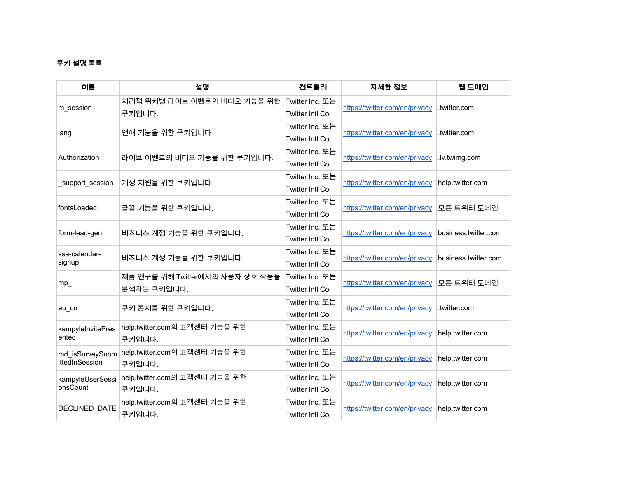## 쿠키 설명 목록

| 이름                                | 설명                                             | 컨트롤러                                      | 자세한 정보                         | 웹 도메인                |
|-----------------------------------|------------------------------------------------|-------------------------------------------|--------------------------------|----------------------|
| m_session                         | 지리적 위치별 라이브 이벤트의 비디오 기능을 위한<br>쿠키입니다.          | Twitter Inc. 또는<br>Twitter Intl Co        | https://twitter.com/en/privacy | .twitter.com         |
| lang                              | 언어 기능을 위한 쿠키입니다                                | Twitter Inc. 또는<br><b>Twitter Intl Co</b> | https://twitter.com/en/privacy | .twitter.com         |
| Authorization                     | 라이브 이벤트의 비디오 기능을 위한 쿠키입니다.                     | Twitter Inc. 또는<br>Twitter Intl Co        | https://twitter.com/en/privacy | .lv.twimg.com        |
| support session                   | 계정 지원을 위한 쿠키입니다.                               | Twitter Inc. 또는<br>Twitter Intl Co        | https://twitter.com/en/privacy | help.twitter.com     |
| fontsLoaded                       | 글꼴 기능을 위한 쿠키입니다.                               | Twitter Inc. 또는<br>Twitter Intl Co        | https://twitter.com/en/privacy | 모든 트위터 도메인           |
| form-lead-gen                     | 비즈니스 계정 기능을 위한 쿠키입니다.                          | Twitter Inc. 또는<br><b>Twitter Intl Co</b> | https://twitter.com/en/privacy | business.twitter.com |
| ssa-calendar-<br>signup           | 비즈니스 계정 기능을 위한 쿠키입니다.                          | Twitter Inc. 또는<br><b>Twitter Intl Co</b> | https://twitter.com/en/privacy | business.twitter.com |
| $mp_$                             | 제품 연구를 위해 Twitter에서의 사용자 상호 작용을<br>분석하는 쿠키입니다. | Twitter Inc. 또는<br><b>Twitter Intl Co</b> | https://twitter.com/en/privacy | 모든 트위터 도메인           |
| eu_cn                             | 쿠키 통지를 위한 쿠키입니다.                               | Twitter Inc. 또는<br>Twitter Intl Co        | https://twitter.com/en/privacy | .twitter.com         |
| kampyleInvitePres<br>ented        | help.twitter.com의 고객센터 기능을 위한<br>쿠키입니다.        | Twitter Inc. 또는<br><b>Twitter Intl Co</b> | https://twitter.com/en/privacy | help.twitter.com     |
| md isSurveySubm<br>ittedInSession | help.twitter.com의 고객센터 기능을 위한<br>쿠키입니다.        | Twitter Inc. 또는<br><b>Twitter Intl Co</b> | https://twitter.com/en/privacy | help.twitter.com     |
| kampyleUserSessi<br>onsCount      | help.twitter.com의 고객센터 기능을 위한<br>쿠키입니다.        | Twitter Inc. 또는<br><b>Twitter Intl Co</b> | https://twitter.com/en/privacy | help.twitter.com     |
| DECLINED_DATE                     | help.twitter.com의 고객센터 기능을 위한<br>쿠키입니다.        | Twitter Inc. 또는<br><b>Twitter Intl Co</b> | https://twitter.com/en/privacy | help.twitter.com     |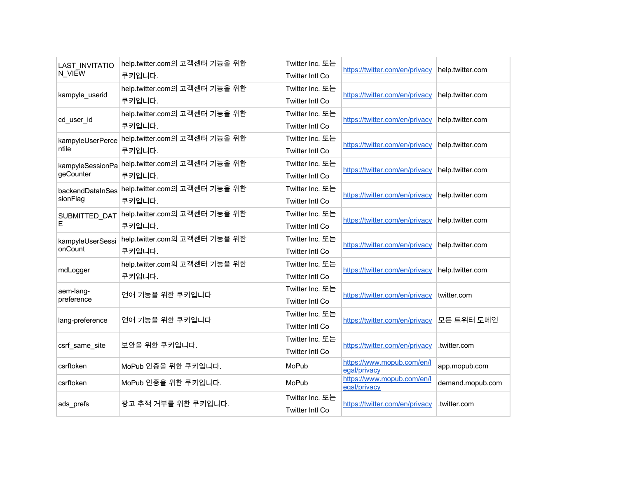| <b>LAST INVITATIO</b><br>N VIEW | help.twitter.com의 고객센터 기능을 위한<br>쿠키입니다. | Twitter Inc. 또는<br>Twitter Intl Co        | https://twitter.com/en/privacy             | help.twitter.com |
|---------------------------------|-----------------------------------------|-------------------------------------------|--------------------------------------------|------------------|
| kampyle_userid                  | help.twitter.com의 고객센터 기능을 위한<br>쿠키입니다. | Twitter Inc. 또는<br><b>Twitter Intl Co</b> | https://twitter.com/en/privacy             | help.twitter.com |
| cd_user_id                      | help.twitter.com의 고객센터 기능을 위한<br>쿠키입니다. | Twitter Inc. 또는<br><b>Twitter Intl Co</b> | https://twitter.com/en/privacy             | help.twitter.com |
| kampyleUserPerce<br>ntile       | help.twitter.com의 고객센터 기능을 위한<br>쿠키입니다. | Twitter Inc. 또는<br><b>Twitter Intl Co</b> | https://twitter.com/en/privacy             | help.twitter.com |
| kampyleSessionPa<br>geCounter   | help.twitter.com의 고객센터 기능을 위한<br>쿠키입니다. | Twitter Inc. 또는<br>Twitter Intl Co        | https://twitter.com/en/privacy             | help.twitter.com |
| backendDataInSes<br>sionFlag    | help.twitter.com의 고객센터 기능을 위한<br>쿠키입니다. | Twitter Inc. 또는<br><b>Twitter Intl Co</b> | https://twitter.com/en/privacy             | help.twitter.com |
| SUBMITTED_DAT<br>Е              | help.twitter.com의 고객센터 기능을 위한<br>쿠키입니다. | Twitter Inc. 또는<br>Twitter Intl Co        | https://twitter.com/en/privacy             | help.twitter.com |
| kampyleUserSessi<br>onCount     | help.twitter.com의 고객센터 기능을 위한<br>쿠키입니다. | Twitter Inc. 또는<br><b>Twitter Intl Co</b> | https://twitter.com/en/privacy             | help.twitter.com |
| mdLogger                        | help.twitter.com의 고객센터 기능을 위한<br>쿠키입니다. | Twitter Inc. 또는<br><b>Twitter Intl Co</b> | https://twitter.com/en/privacy             | help.twitter.com |
| aem-lang-<br>preference         | 언어 기능을 위한 쿠키입니다                         | Twitter Inc. 또는<br>Twitter Intl Co        | https://twitter.com/en/privacy             | twitter.com      |
| lang-preference                 | 언어 기능을 위한 쿠키입니다                         | Twitter Inc. 또는<br><b>Twitter Intl Co</b> | https://twitter.com/en/privacy             | 모든 트위터 도메인       |
| csrf_same_site                  | 보안을 위한 쿠키입니다.                           | Twitter Inc. 또는<br><b>Twitter Intl Co</b> | https://twitter.com/en/privacy             | .twitter.com     |
| csrftoken                       | MoPub 인증을 위한 쿠키입니다.                     | MoPub                                     | https://www.mopub.com/en/l<br>egal/privacy | app.mopub.com    |
| csrftoken                       | MoPub 인증을 위한 쿠키입니다.                     | <b>MoPub</b>                              | https://www.mopub.com/en/l<br>egal/privacy | demand.mopub.com |
| ads_prefs                       | 광고 추적 거부를 위한 쿠키입니다.                     | Twitter Inc. 또는<br><b>Twitter Intl Co</b> | https://twitter.com/en/privacy             | .twitter.com     |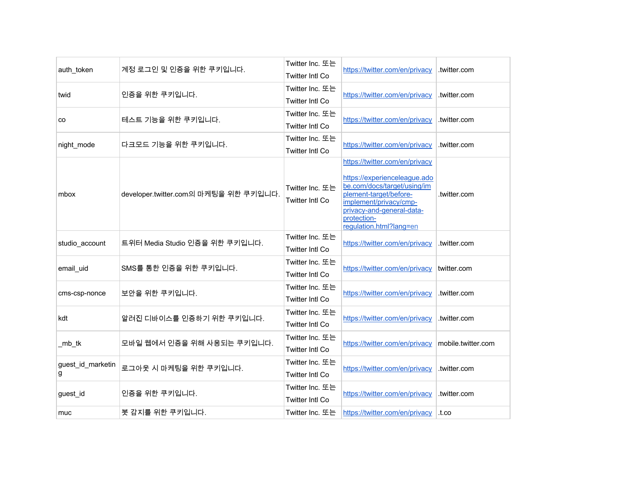| auth token             | 계정 로그인 및 인증을 위한 쿠키입니다.                | Twitter Inc. 또는<br><b>Twitter Intl Co</b> | https://twitter.com/en/privacy                                                                                                                                                                                           | .twitter.com       |
|------------------------|---------------------------------------|-------------------------------------------|--------------------------------------------------------------------------------------------------------------------------------------------------------------------------------------------------------------------------|--------------------|
| twid                   | 인증을 위한 쿠키입니다.                         | Twitter Inc. 또는<br>Twitter Intl Co        | https://twitter.com/en/privacy                                                                                                                                                                                           | .twitter.com       |
| CO                     | 테스트 기능을 위한 쿠키입니다.                     | Twitter Inc. 또는<br><b>Twitter Intl Co</b> | https://twitter.com/en/privacy                                                                                                                                                                                           | .twitter.com       |
| night_mode             | 다크모드 기능을 위한 쿠키입니다.                    | Twitter Inc. 또는<br><b>Twitter Intl Co</b> | https://twitter.com/en/privacy                                                                                                                                                                                           | .twitter.com       |
| mbox                   | developer.twitter.com의 마케팅을 위한 쿠키입니다. | Twitter Inc. 또는<br><b>Twitter Intl Co</b> | https://twitter.com/en/privacy<br>https://experienceleague.ado<br>be.com/docs/target/using/im<br>plement-target/before-<br>implement/privacy/cmp-<br>privacy-and-general-data-<br>protection-<br>regulation.html?lang=en | .twitter.com       |
| studio_account         | 트위터 Media Studio 인증을 위한 쿠키입니다.        | Twitter Inc. 또는<br><b>Twitter Intl Co</b> | https://twitter.com/en/privacy                                                                                                                                                                                           | .twitter.com       |
| email_uid              | SMS를 통한 인증을 위한 쿠키입니다.                 | Twitter Inc. 또는<br>Twitter Intl Co        | https://twitter.com/en/privacy                                                                                                                                                                                           | twitter.com        |
| cms-csp-nonce          | 보안을 위한 쿠키입니다.                         | Twitter Inc. 또는<br><b>Twitter Intl Co</b> | https://twitter.com/en/privacy                                                                                                                                                                                           | .twitter.com       |
| kdt                    | 알려진 디바이스를 인증하기 위한 쿠키입니다.              | Twitter Inc. 또는<br><b>Twitter Intl Co</b> | https://twitter.com/en/privacy                                                                                                                                                                                           | .twitter.com       |
| _mb_tk                 | 모바일 웹에서 인증을 위해 사용되는 쿠키입니다.            | Twitter Inc. 또는<br>Twitter Intl Co        | https://twitter.com/en/privacy                                                                                                                                                                                           | mobile.twitter.com |
| guest_id_marketin<br>g | 로그아웃 시 마케팅을 위한 쿠키입니다.                 | Twitter Inc. 또는<br><b>Twitter Intl Co</b> | https://twitter.com/en/privacy                                                                                                                                                                                           | .twitter.com       |
| guest_id               | 인증을 위한 쿠키입니다.                         | Twitter Inc. 또는<br>Twitter Intl Co        | https://twitter.com/en/privacy                                                                                                                                                                                           | .twitter.com       |
| muc                    | 봇 감지를 위한 쿠키입니다.                       | Twitter Inc. 또는                           | https://twitter.com/en/privacy                                                                                                                                                                                           | .t.co              |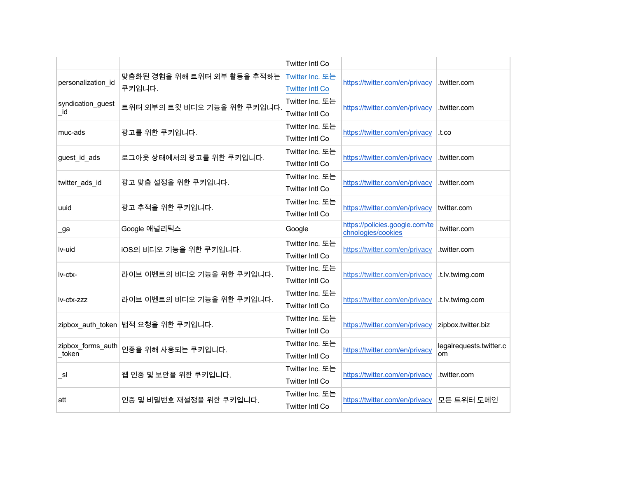|                            |                                       | <b>Twitter Intl Co</b>                    |                                                      |                               |
|----------------------------|---------------------------------------|-------------------------------------------|------------------------------------------------------|-------------------------------|
| personalization id         | 맞춤화된 경험을 위해 트위터 외부 활동을 추적하는<br>쿠키입니다. | Twitter Inc. 또는<br><b>Twitter Intl Co</b> | https://twitter.com/en/privacy                       | .twitter.com                  |
| syndication_guest<br>id    | 트위터 외부의 트윗 비디오 기능을 위한 쿠키입니다.          | Twitter Inc. 또는<br><b>Twitter Intl Co</b> | https://twitter.com/en/privacy                       | .twitter.com                  |
| muc-ads                    | 광고를 위한 쿠키입니다.                         | Twitter Inc. 또는<br><b>Twitter Intl Co</b> | https://twitter.com/en/privacy                       | .t.co                         |
| guest id ads               | 로그아웃 상태에서의 광고를 위한 쿠키입니다.              | Twitter Inc. 또는<br>Twitter Intl Co        | https://twitter.com/en/privacy                       | .twitter.com                  |
| twitter_ads_id             | 광고 맞춤 설정을 위한 쿠키입니다.                   | Twitter Inc. 또는<br><b>Twitter Intl Co</b> | https://twitter.com/en/privacy                       | .twitter.com                  |
| uuid                       | 광고 추적을 위한 쿠키입니다.                      | Twitter Inc. 또는<br>Twitter Intl Co        | https://twitter.com/en/privacy                       | twitter.com                   |
| _ga                        | Google 애널리틱스                          | Google                                    | https://policies.google.com/te<br>chnologies/cookies | .twitter.com                  |
| lv-uid                     | iOS의 비디오 기능을 위한 쿠키입니다.                | Twitter Inc. 또는<br>Twitter Intl Co        | https://twitter.com/en/privacy                       | .twitter.com                  |
| Iv-ctx-                    | 라이브 이벤트의 비디오 기능을 위한 쿠키입니다.            | Twitter Inc. 또는<br><b>Twitter Intl Co</b> | https://twitter.com/en/privacy                       | .t.lv.twimg.com               |
| lv-ctx-zzz                 | 라이브 이벤트의 비디오 기능을 위한 쿠키입니다.            | Twitter Inc. 또는<br>Twitter Intl Co        | https://twitter.com/en/privacy                       | .t.lv.twimg.com               |
|                            | zipbox_auth_token 법적 요청을 위한 쿠키입니다.    | Twitter Inc. 또는<br><b>Twitter Intl Co</b> | https://twitter.com/en/privacy                       | zipbox.twitter.biz            |
| zipbox_forms_auth<br>token | 인증을 위해 사용되는 쿠키입니다.                    | Twitter Inc. 또는<br>Twitter Intl Co        | https://twitter.com/en/privacy                       | legalrequests.twitter.c<br>om |
| sl                         | 웹 인증 및 보안을 위한 쿠키입니다.                  | Twitter Inc. 또는<br><b>Twitter Intl Co</b> | https://twitter.com/en/privacy                       | .twitter.com                  |
| att                        | 인증 및 비밀번호 재설정을 위한 쿠키입니다.              | Twitter Inc. 또는<br><b>Twitter Intl Co</b> | https://twitter.com/en/privacy                       | 모든 트위터 도메인                    |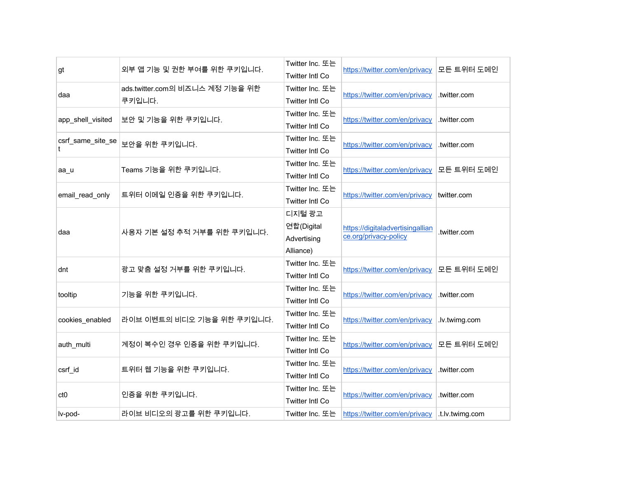| gt                | 외부 앱 기능 및 권한 부여를 위한 쿠키입니다.                | Twitter Inc. 또는<br><b>Twitter Intl Co</b>        | https://twitter.com/en/privacy                            | 모든 트위터 도메인      |
|-------------------|-------------------------------------------|--------------------------------------------------|-----------------------------------------------------------|-----------------|
| daa               | ads.twitter.com의 비즈니스 계정 기능을 위한<br>쿠키입니다. | Twitter Inc. 또는<br><b>Twitter Intl Co</b>        | https://twitter.com/en/privacy                            | .twitter.com    |
| app_shell_visited | 보안 및 기능을 위한 쿠키입니다.                        | Twitter Inc. 또는<br><b>Twitter Intl Co</b>        | https://twitter.com/en/privacy                            | .twitter.com    |
| csrf_same_site_se | 보안을 위한 쿠키입니다.                             | Twitter Inc. 또는<br><b>Twitter Intl Co</b>        | https://twitter.com/en/privacy                            | .twitter.com    |
| aa u              | Teams 기능을 위한 쿠키입니다.                       | Twitter Inc. 또는<br><b>Twitter Intl Co</b>        | https://twitter.com/en/privacy                            | 모든 트위터 도메인      |
| email_read_only   | 트위터 이메일 인증을 위한 쿠키입니다.                     | Twitter Inc. 또는<br>Twitter Intl Co               | https://twitter.com/en/privacy                            | twitter.com     |
| daa               | 사용자 기본 설정 추적 거부를 위한 쿠키입니다.                | 디지털 광고<br>연합(Digital<br>Advertising<br>Alliance) | https://digitaladvertisingallian<br>ce.org/privacy-policy | .twitter.com    |
| dnt               | 광고 맞춤 설정 거부를 위한 쿠키입니다.                    | Twitter Inc. 또는<br>Twitter Intl Co               | https://twitter.com/en/privacy                            | 모든 트위터 도메인      |
| tooltip           | 기능을 위한 쿠키입니다.                             | Twitter Inc. 또는<br><b>Twitter Intl Co</b>        | https://twitter.com/en/privacy                            | .twitter.com    |
| cookies_enabled   | 라이브 이벤트의 비디오 기능을 위한 쿠키입니다.                | Twitter Inc. 또는<br><b>Twitter Intl Co</b>        | https://twitter.com/en/privacy                            | .lv.twimg.com   |
| auth_multi        | 계정이 복수인 경우 인증을 위한 쿠키입니다.                  | Twitter Inc. 또는<br>Twitter Intl Co               | https://twitter.com/en/privacy                            | 모든 트위터 도메인      |
| csrf_id           | 트위터 웹 기능을 위한 쿠키입니다.                       | Twitter Inc. 또는<br><b>Twitter Intl Co</b>        | https://twitter.com/en/privacy                            | .twitter.com    |
| ct <sub>0</sub>   | 인증을 위한 쿠키입니다.                             | Twitter Inc. 또는<br><b>Twitter Intl Co</b>        | https://twitter.com/en/privacy                            | .twitter.com    |
| lv-pod-           | 라이브 비디오의 광고를 위한 쿠키입니다.                    | Twitter Inc. 또는                                  | https://twitter.com/en/privacy                            | .t.lv.twimg.com |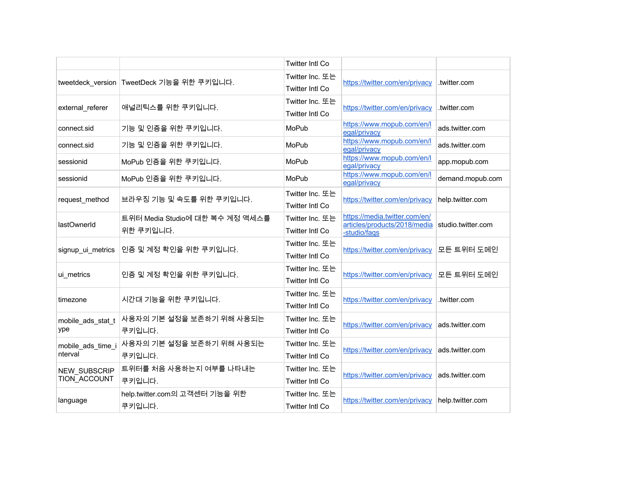|                     |                                             | Twitter Intl Co        |                                                               |                    |
|---------------------|---------------------------------------------|------------------------|---------------------------------------------------------------|--------------------|
|                     | tweetdeck_version   TweetDeck 기능을 위한 쿠키입니다. | Twitter Inc. 또는        |                                                               |                    |
|                     |                                             | <b>Twitter Intl Co</b> | https://twitter.com/en/privacy                                | .twitter.com       |
|                     |                                             | Twitter Inc. 또는        |                                                               | .twitter.com       |
| external_referer    | 애널리틱스를 위한 쿠키입니다.                            | Twitter Intl Co        | https://twitter.com/en/privacy                                |                    |
| connect.sid         | 기능 및 인증을 위한 쿠키입니다.                          | MoPub                  | https://www.mopub.com/en/l<br>egal/privacy                    | ads.twitter.com    |
| connect.sid         | 기능 및 인증을 위한 쿠키입니다.                          | MoPub                  | https://www.mopub.com/en/l<br>egal/privacy                    | ads.twitter.com    |
| sessionid           | MoPub 인증을 위한 쿠키입니다.                         | MoPub                  | https://www.mopub.com/en/l<br>egal/privacy                    | app.mopub.com      |
| sessionid           | MoPub 인증을 위한 쿠키입니다.                         | MoPub                  | https://www.mopub.com/en/l<br>egal/privacy                    | demand.mopub.com   |
| request_method      | 브라우징 기능 및 속도를 위한 쿠키입니다.                     | Twitter Inc. 또는        | https://twitter.com/en/privacy                                | help.twitter.com   |
|                     |                                             | <b>Twitter Intl Co</b> |                                                               |                    |
| lastOwnerId         | 트위터 Media Studio에 대한 복수 계정 액세스를             | Twitter Inc. 또는        | https://media.twitter.com/en/<br>articles/products/2018/media | studio.twitter.com |
|                     | 위한 쿠키입니다.                                   | <b>Twitter Intl Co</b> | -studio/faqs                                                  |                    |
| signup ui metrics   | 인증 및 계정 확인을 위한 쿠키입니다.                       | Twitter Inc. 또는        | https://twitter.com/en/privacy                                | 모든 트위터 도메인         |
|                     |                                             | <b>Twitter Intl Co</b> |                                                               |                    |
| ui_metrics          | 인증 및 계정 확인을 위한 쿠키입니다.                       | Twitter Inc. 또는        | https://twitter.com/en/privacy                                | 모든 트위터 도메인         |
|                     |                                             | <b>Twitter Intl Co</b> |                                                               |                    |
| timezone            | 시간대 기능을 위한 쿠키입니다.                           | Twitter Inc. 또는        | https://twitter.com/en/privacy                                | .twitter.com       |
|                     |                                             | <b>Twitter Intl Co</b> |                                                               |                    |
| mobile_ads_stat_t   | 사용자의 기본 설정을 보존하기 위해 사용되는                    | Twitter Inc. 또는        | https://twitter.com/en/privacy                                | ads.twitter.com    |
| ype                 | 쿠키입니다.                                      | <b>Twitter Intl Co</b> |                                                               |                    |
| mobile_ads_time_i   | 사용자의 기본 설정을 보존하기 위해 사용되는                    | Twitter Inc. 또는        | https://twitter.com/en/privacy                                | ads.twitter.com    |
| nterval             | 쿠키입니다.                                      | Twitter Intl Co        |                                                               |                    |
| <b>NEW SUBSCRIP</b> | 트위터를 처음 사용하는지 여부를 나타내는                      | Twitter Inc. 또는        | https://twitter.com/en/privacy                                | ads.twitter.com    |
| TION ACCOUNT        | 쿠키입니다.                                      | <b>Twitter Intl Co</b> |                                                               |                    |
| language            | help.twitter.com의 고객센터 기능을 위한               | Twitter Inc. 또는        | https://twitter.com/en/privacy                                | help.twitter.com   |
|                     | 쿠키입니다.                                      | <b>Twitter Intl Co</b> |                                                               |                    |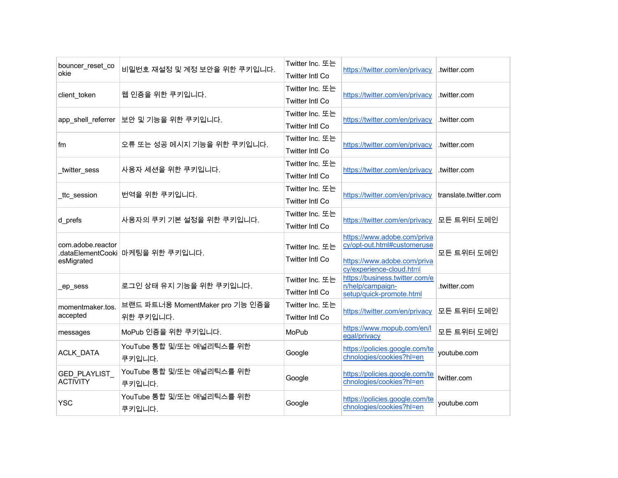| bouncer_reset_co<br>okie               | 비밀번호 재설정 및 계정 보안을 위한 쿠키입니다.                  | Twitter Inc. 또는<br>Twitter Intl Co        | https://twitter.com/en/privacy                                                                                        | .twitter.com          |
|----------------------------------------|----------------------------------------------|-------------------------------------------|-----------------------------------------------------------------------------------------------------------------------|-----------------------|
| client_token                           | 웹 인증을 위한 쿠키입니다.                              | Twitter Inc. 또는<br><b>Twitter Intl Co</b> | https://twitter.com/en/privacy                                                                                        | .twitter.com          |
| app_shell_referrer                     | 보안 및 기능을 위한 쿠키입니다.                           | Twitter Inc. 또는<br>Twitter Intl Co        | https://twitter.com/en/privacy                                                                                        | .twitter.com          |
| fm                                     | 오류 또는 성공 메시지 기능을 위한 쿠키입니다.                   | Twitter Inc. 또는<br><b>Twitter Intl Co</b> | https://twitter.com/en/privacy                                                                                        | .twitter.com          |
| _twitter_sess                          | 사용자 세션을 위한 쿠키입니다.                            | Twitter Inc. 또는<br>Twitter Intl Co        | https://twitter.com/en/privacy                                                                                        | .twitter.com          |
| _ttc_session                           | 번역을 위한 쿠키입니다.                                | Twitter Inc. 또는<br>Twitter Intl Co        | https://twitter.com/en/privacy                                                                                        | translate.twitter.com |
| d_prefs                                | 사용자의 쿠키 기본 설정을 위한 쿠키입니다.                     | Twitter Inc. 또는<br>Twitter Intl Co        | https://twitter.com/en/privacy                                                                                        | 모든 트위터 도메인            |
| com.adobe.reactor<br>esMigrated        | .dataElementCooki 마케팅을 위한 쿠키입니다.             | Twitter Inc. 또는<br>Twitter Intl Co        | https://www.adobe.com/priva<br>cy/opt-out.html#customeruse<br>https://www.adobe.com/priva<br>cy/experience-cloud.html | 모든 트위터 도메인            |
| _ep_sess                               | 로그인 상태 유지 기능을 위한 쿠키입니다.                      | Twitter Inc. 또는<br>Twitter Intl Co        | https://business.twitter.com/e<br>n/help/campaign-<br>setup/quick-promote.html                                        | .twitter.com          |
| momentmaker.tos.<br>accepted           | 브랜드 파트너용 MomentMaker pro 기능 인증을<br>위한 쿠키입니다. | Twitter Inc. 또는<br><b>Twitter Intl Co</b> | https://twitter.com/en/privacy                                                                                        | 모든 트위터 도메인            |
| messages                               | MoPub 인증을 위한 쿠키입니다.                          | MoPub                                     | https://www.mopub.com/en/l<br>egal/privacy                                                                            | 모든 트위터 도메인            |
| ACLK_DATA                              | YouTube 통합 및/또는 애널리틱스를 위한<br>쿠키입니다.          | Google                                    | https://policies.google.com/te<br>chnologies/cookies?hl=en                                                            | youtube.com           |
| <b>GED PLAYLIST</b><br><b>ACTIVITY</b> | YouTube 통합 및/또는 애널리틱스를 위한<br>쿠키입니다.          | Google                                    | https://policies.google.com/te<br>chnologies/cookies?hl=en                                                            | twitter.com           |
| <b>YSC</b>                             | YouTube 통합 및/또는 애널리틱스를 위한<br>쿠키입니다.          | Google                                    | https://policies.google.com/te<br>chnologies/cookies?hl=en                                                            | youtube.com           |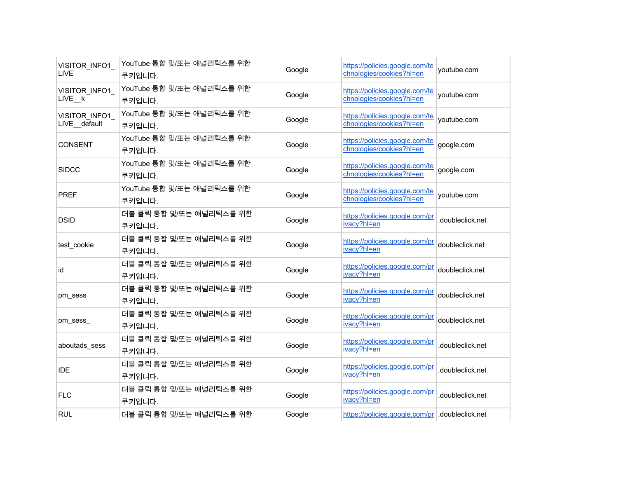| VISITOR INFO1<br>LIVE         | YouTube 통합 및/또는 애널리틱스를 위한<br>쿠키입니다. | Google | https://policies.google.com/te<br>chnologies/cookies?hl=en | youtube.com      |
|-------------------------------|-------------------------------------|--------|------------------------------------------------------------|------------------|
| VISITOR_INFO1<br>LIVE_k       | YouTube 통합 및/또는 애널리틱스를 위한<br>쿠키입니다. | Google | https://policies.google.com/te<br>chnologies/cookies?hl=en | youtube.com      |
| VISITOR INFO1<br>LIVE default | YouTube 통합 및/또는 애널리틱스를 위한<br>쿠키입니다. | Google | https://policies.google.com/te<br>chnologies/cookies?hl=en | youtube.com      |
| <b>CONSENT</b>                | YouTube 통합 및/또는 애널리틱스를 위한<br>쿠키입니다. | Google | https://policies.google.com/te<br>chnologies/cookies?hl=en | google.com       |
| <b>SIDCC</b>                  | YouTube 통합 및/또는 애널리틱스를 위한<br>쿠키입니다. | Google | https://policies.google.com/te<br>chnologies/cookies?hl=en | google.com       |
| <b>PREF</b>                   | YouTube 통합 및/또는 애널리틱스를 위한<br>쿠키입니다. | Google | https://policies.google.com/te<br>chnologies/cookies?hl=en | youtube.com      |
| <b>DSID</b>                   | 더블 클릭 통합 및/또는 애널리틱스를 위한<br>쿠키입니다.   | Google | https://policies.google.com/pr<br>ivacy?hl=en              | .doubleclick.net |
| test cookie                   | 더블 클릭 통합 및/또는 애널리틱스를 위한<br>쿠키입니다.   | Google | https://policies.google.com/pr<br>ivacy?hl=en              | doubleclick.net  |
| id                            | 더블 클릭 통합 및/또는 애널리틱스를 위한<br>쿠키입니다.   | Google | https://policies.google.com/pr<br>ivacy?hl=en              | doubleclick.net  |
| pm sess                       | 더블 클릭 통합 및/또는 애널리틱스를 위한<br>쿠키입니다.   | Google | https://policies.google.com/pr<br>ivacy?hl=en              | doubleclick.net  |
| pm_sess_                      | 더블 클릭 통합 및/또는 애널리틱스를 위한<br>쿠키입니다.   | Google | https://policies.google.com/pr<br>ivacy?hl=en              | doubleclick.net  |
| aboutads_sess                 | 더블 클릭 통합 및/또는 애널리틱스를 위한<br>쿠키입니다.   | Google | https://policies.google.com/pr<br>ivacy?hl=en              | .doubleclick.net |
| <b>IDE</b>                    | 더블 클릭 통합 및/또는 애널리틱스를 위한<br>쿠키입니다.   | Google | https://policies.google.com/pr<br>ivacy?hl=en              | .doubleclick.net |
| <b>FLC</b>                    | 더블 클릭 통합 및/또는 애널리틱스를 위한<br>쿠키입니다.   | Google | https://policies.google.com/pr<br>ivacy?hl=en              | .doubleclick.net |
| <b>RUL</b>                    | 더블 클릭 통합 및/또는 애널리틱스를 위한             | Google | https://policies.google.com/pr doubleclick.net             |                  |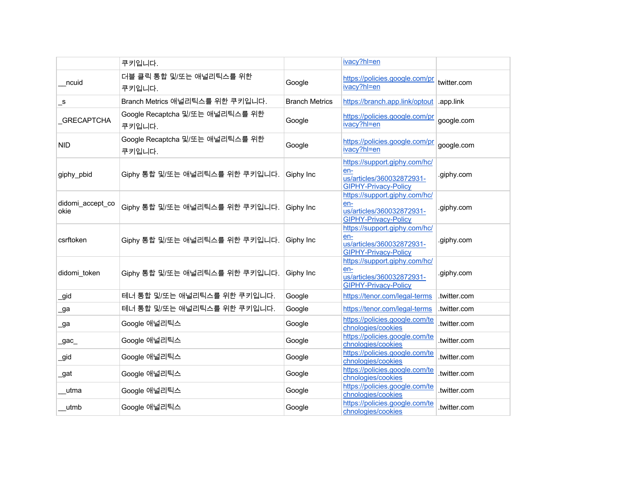|                          | 쿠키입니다.                                    |                       | ivacy?hl=en                                                                                      |              |
|--------------------------|-------------------------------------------|-----------------------|--------------------------------------------------------------------------------------------------|--------------|
| ncuid                    | 더블 클릭 통합 및/또는 애널리틱스를 위한<br>쿠키입니다.         | Google                | https://policies.google.com/pr<br>ivacy?hl=en                                                    | twitter.com  |
| $\mathsf{-s}$            | Branch Metrics 애널리틱스를 위한 쿠키입니다.           | <b>Branch Metrics</b> | https://branch.app.link/optout                                                                   | .app.link    |
| <b>GRECAPTCHA</b>        | Google Recaptcha 및/또는 애널리틱스를 위한<br>쿠키입니다. | Google                | https://policies.google.com/pr<br>ivacy?hl=en                                                    | google.com   |
| <b>NID</b>               | Google Recaptcha 및/또는 애널리틱스를 위한<br>쿠키입니다. | Google                | https://policies.google.com/pr<br>ivacy?hl=en                                                    | google.com   |
| giphy_pbid               | Giphy 통합 및/또는 애널리틱스를 위한 쿠키입니다.            | Giphy Inc             | https://support.giphy.com/hc/<br>en-<br>us/articles/360032872931-<br><b>GIPHY-Privacy-Policy</b> | .giphy.com   |
| didomi_accept_co<br>okie | Giphy 통합 및/또는 애널리틱스를 위한 쿠키입니다.            | Giphy Inc             | https://support.giphy.com/hc/<br>en-<br>us/articles/360032872931-<br><b>GIPHY-Privacy-Policy</b> | .giphy.com   |
| csrftoken                | Giphy 통합 및/또는 애널리틱스를 위한 쿠키입니다.            | Giphy Inc             | https://support.giphy.com/hc/<br>en-<br>us/articles/360032872931-<br><b>GIPHY-Privacy-Policy</b> | .giphy.com   |
| didomi token             | Giphy 통합 및/또는 애널리틱스를 위한 쿠키입니다.            | Giphy Inc             | https://support.giphy.com/hc/<br>en-<br>us/articles/360032872931-<br><b>GIPHY-Privacy-Policy</b> | .giphy.com   |
| _gid                     | 테너 통합 및/또는 애널리틱스를 위한 쿠키입니다.               | Google                | https://tenor.com/legal-terms                                                                    | .twitter.com |
| _ga                      | 테너 통합 및/또는 애널리틱스를 위한 쿠키입니다.               | Google                | https://tenor.com/legal-terms                                                                    | .twitter.com |
| _ga                      | Google 애널리틱스                              | Google                | https://policies.google.com/te<br>chnologies/cookies                                             | twitter.com. |
| $\_\g{gac}$              | Google 애널리틱스                              | Google                | https://policies.google.com/te<br>chnologies/cookies                                             | .twitter.com |
| _gid                     | Google 애널리틱스                              | Google                | https://policies.google.com/te<br>chnologies/cookies                                             | .twitter.com |
| _gat                     | Google 애널리틱스                              | Google                | https://policies.google.com/te<br>chnologies/cookies                                             | .twitter.com |
| utma                     | Google 애널리틱스                              | Google                | https://policies.google.com/te<br>chnologies/cookies                                             | .twitter.com |
| utmb                     | Google 애널리틱스                              | Google                | https://policies.google.com/te<br>chnologies/cookies                                             | .twitter.com |